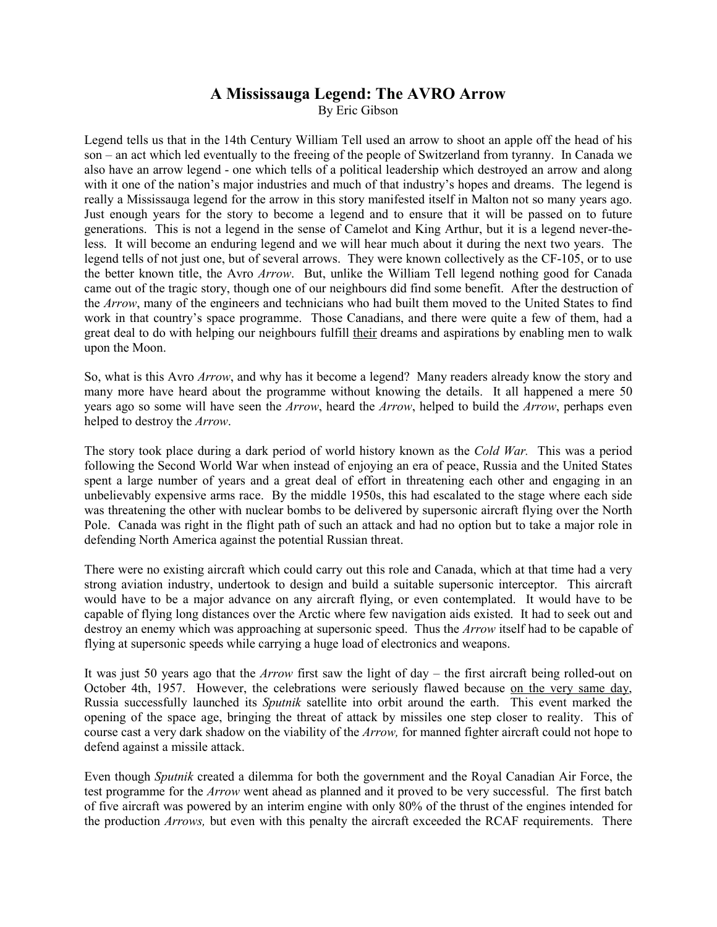## **A Mississauga Legend: The AVRO Arrow**  By Eric Gibson

Legend tells us that in the 14th Century William Tell used an arrow to shoot an apple off the head of his son – an act which led eventually to the freeing of the people of Switzerland from tyranny. In Canada we also have an arrow legend - one which tells of a political leadership which destroyed an arrow and along with it one of the nation's major industries and much of that industry's hopes and dreams. The legend is really a Mississauga legend for the arrow in this story manifested itself in Malton not so many years ago. Just enough years for the story to become a legend and to ensure that it will be passed on to future generations. This is not a legend in the sense of Camelot and King Arthur, but it is a legend never-theless. It will become an enduring legend and we will hear much about it during the next two years. The legend tells of not just one, but of several arrows. They were known collectively as the CF-105, or to use the better known title, the Avro *Arrow*. But, unlike the William Tell legend nothing good for Canada came out of the tragic story, though one of our neighbours did find some benefit. After the destruction of the *Arrow*, many of the engineers and technicians who had built them moved to the United States to find work in that country's space programme. Those Canadians, and there were quite a few of them, had a great deal to do with helping our neighbours fulfill their dreams and aspirations by enabling men to walk upon the Moon.

So, what is this Avro *Arrow*, and why has it become a legend? Many readers already know the story and many more have heard about the programme without knowing the details. It all happened a mere 50 years ago so some will have seen the *Arrow*, heard the *Arrow*, helped to build the *Arrow*, perhaps even helped to destroy the *Arrow*.

The story took place during a dark period of world history known as the *Cold War.* This was a period following the Second World War when instead of enjoying an era of peace, Russia and the United States spent a large number of years and a great deal of effort in threatening each other and engaging in an unbelievably expensive arms race. By the middle 1950s, this had escalated to the stage where each side was threatening the other with nuclear bombs to be delivered by supersonic aircraft flying over the North Pole. Canada was right in the flight path of such an attack and had no option but to take a major role in defending North America against the potential Russian threat.

There were no existing aircraft which could carry out this role and Canada, which at that time had a very strong aviation industry, undertook to design and build a suitable supersonic interceptor. This aircraft would have to be a major advance on any aircraft flying, or even contemplated. It would have to be capable of flying long distances over the Arctic where few navigation aids existed. It had to seek out and destroy an enemy which was approaching at supersonic speed. Thus the *Arrow* itself had to be capable of flying at supersonic speeds while carrying a huge load of electronics and weapons.

It was just 50 years ago that the *Arrow* first saw the light of day – the first aircraft being rolled-out on October 4th, 1957. However, the celebrations were seriously flawed because on the very same day, Russia successfully launched its *Sputnik* satellite into orbit around the earth. This event marked the opening of the space age, bringing the threat of attack by missiles one step closer to reality. This of course cast a very dark shadow on the viability of the *Arrow,* for manned fighter aircraft could not hope to defend against a missile attack.

Even though *Sputnik* created a dilemma for both the government and the Royal Canadian Air Force, the test programme for the *Arrow* went ahead as planned and it proved to be very successful. The first batch of five aircraft was powered by an interim engine with only 80% of the thrust of the engines intended for the production *Arrows,* but even with this penalty the aircraft exceeded the RCAF requirements. There